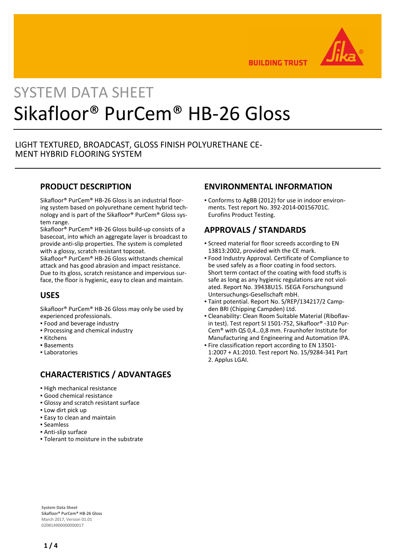

**BUILDING TRUST** 

# SYSTEM DATA SHEET Sikafloor® PurCem® HB-26 Gloss

## LIGHT TEXTURED, BROADCAST, GLOSS FINISH POLYURETHANE CE-MENT HYBRID FLOORING SYSTEM

#### **PRODUCT DESCRIPTION**

Sikafloor® PurCem® HB-26 Gloss is an industrial flooring system based on polyurethane cement hybrid technology and is part of the Sikafloor® PurCem® Gloss system range.

Sikafloor® PurCem® HB-26 Gloss build-up consists of a basecoat, into which an aggregate layer is broadcast to provide anti-slip properties. The system is completed with a glossy, scratch resistant topcoat.

Sikafloor® PurCem® HB-26 Gloss withstands chemical attack and has good abrasion and impact resistance. Due to its gloss, scratch resistance and impervious surface, the floor is hygienic, easy to clean and maintain.

## **USES**

Sikafloor® PurCem® HB-26 Gloss may only be used by experienced professionals.

- Food and beverage industry
- Processing and chemical industry
- Kitchens
- Basements
- Laboratories

# **CHARACTERISTICS / ADVANTAGES**

- **.** High mechanical resistance
- Good chemical resistance
- Glossy and scratch resistant surface
- **.** Low dirt pick up
- **Easy to clean and maintain**
- Seamless
- Anti-slip surface
- Tolerant to moisture in the substrate

## **ENVIRONMENTAL INFORMATION**

Conforms to AgBB (2012) for use in indoor environ-▪ ments. Test report No. 392-2014-00156701C. Eurofins Product Testing.

# **APPROVALS / STANDARDS**

- **Screed material for floor screeds according to EN** 13813:2002, provided with the CE mark.
- Food Industry Approval. Certificate of Compliance to be used safely as a floor coating in food sectors. Short term contact of the coating with food stuffs is safe as long as any hygienic regulations are not violated. Report No. 39438U15. ISEGA Forschungsund Untersuchungs-Gesellschaft mbH.
- Taint potential. Report No. S/REP/134217/2 Camp-▪ den BRI (Chipping Campden) Ltd.
- Cleanability: Clean Room Suitable Material (Riboflav-▪ in test). Test report SI 1501-752, Sikafloor® -310 Pur-Cem® with QS 0,4…0,8 mm. Fraunhofer Institute for Manufacturing and Engineering and Automation IPA.
- **Fire classification report according to EN 13501-**1:2007 + A1:2010. Test report No. 15/9284-341 Part 2. Applus LGAI.

**System Data Sheet** Sikafloor® PurCem® HB-26 Gloss March 2017, Version 01.01 020814900000000017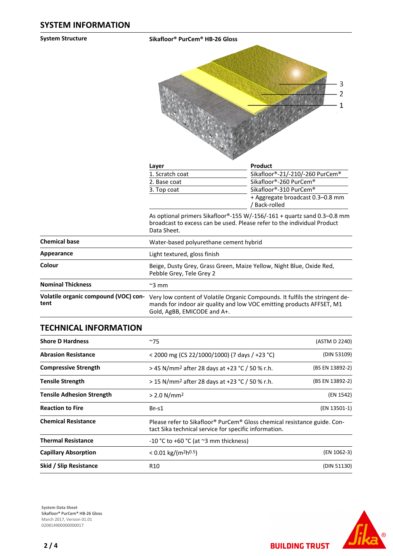**System Structure Sikafloor® PurCem® HB-26 Gloss**



| Layer           | <b>Product</b>                                    |
|-----------------|---------------------------------------------------|
| 1. Scratch coat | Sikafloor®-21/-210/-260 PurCem®                   |
| 2. Base coat    | Sikafloor®-260 PurCem®                            |
| 3. Top coat     | Sikafloor®-310 PurCem®                            |
|                 | + Aggregate broadcast 0.3–0.8 mm<br>/ Back-rolled |

As optional primers Sikafloor®-155 W/-156/-161 + quartz sand 0.3–0.8 mm broadcast to excess can be used. Please refer to the individual Product Data Sheet.

| <b>Chemical base</b>                         | Water-based polyurethane cement hybrid                                                                                                                                               |
|----------------------------------------------|--------------------------------------------------------------------------------------------------------------------------------------------------------------------------------------|
| Appearance                                   | Light textured, gloss finish                                                                                                                                                         |
| Colour                                       | Beige, Dusty Grey, Grass Green, Maize Yellow, Night Blue, Oxide Red,<br>Pebble Grey, Tele Grey 2                                                                                     |
| <b>Nominal Thickness</b>                     | $\approx$ 3 mm                                                                                                                                                                       |
| Volatile organic compound (VOC) con-<br>tent | Very low content of Volatile Organic Compounds. It fulfils the stringent de-<br>mands for indoor air quality and low VOC emitting products AFFSET, M1<br>Gold, AgBB, EMICODE and A+. |
|                                              |                                                                                                                                                                                      |

#### **TECHNICAL INFORMATION**

| <b>Shore D Hardness</b>          | ~275                                                                                                                                                      | (ASTM D 2240)   |
|----------------------------------|-----------------------------------------------------------------------------------------------------------------------------------------------------------|-----------------|
| <b>Abrasion Resistance</b>       | < 2000 mg (CS 22/1000/1000) (7 days / +23 °C)                                                                                                             | (DIN 53109)     |
| <b>Compressive Strength</b>      | > 45 N/mm <sup>2</sup> after 28 days at +23 °C / 50 % r.h.                                                                                                | (BS EN 13892-2) |
| <b>Tensile Strength</b>          | > 15 N/mm <sup>2</sup> after 28 days at +23 °C / 50 % r.h.                                                                                                | (BS EN 13892-2) |
| <b>Tensile Adhesion Strength</b> | $> 2.0 N/mm^2$                                                                                                                                            | (EN 1542)       |
| <b>Reaction to Fire</b>          | $BfI-S1$                                                                                                                                                  | (EN 13501-1)    |
| <b>Chemical Resistance</b>       | Please refer to Sikafloor <sup>®</sup> PurCem <sup>®</sup> Gloss chemical resistance guide. Con-<br>tact Sika technical service for specific information. |                 |
| <b>Thermal Resistance</b>        | -10 °C to +60 °C (at $\approx$ 3 mm thickness)                                                                                                            |                 |
| <b>Capillary Absorption</b>      | $< 0.01$ kg/(m <sup>2</sup> h <sup>0.5</sup> )                                                                                                            | (EN 1062-3)     |
| Skid / Slip Resistance           | R <sub>10</sub>                                                                                                                                           | (DIN 51130)     |





**BUILDING TRUST**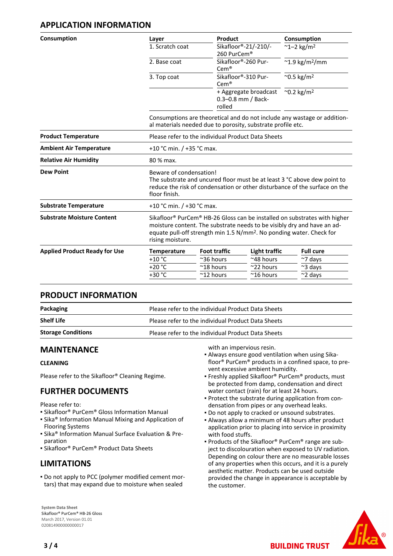## **APPLICATION INFORMATION**

| Layer              | Product                                                                                                                                                                                                                                                          |                      | Consumption                                                                                                                                                                                                                                                                 |  |  |
|--------------------|------------------------------------------------------------------------------------------------------------------------------------------------------------------------------------------------------------------------------------------------------------------|----------------------|-----------------------------------------------------------------------------------------------------------------------------------------------------------------------------------------------------------------------------------------------------------------------------|--|--|
| 1. Scratch coat    |                                                                                                                                                                                                                                                                  |                      | $~^{\sim}$ 1-2 kg/m <sup>2</sup>                                                                                                                                                                                                                                            |  |  |
| 2. Base coat       | $Cem^*$                                                                                                                                                                                                                                                          |                      | $~^{\sim}$ 1.9 kg/m <sup>2</sup> /mm                                                                                                                                                                                                                                        |  |  |
| 3. Top coat        | $Cem^*$                                                                                                                                                                                                                                                          |                      | $^{\sim}$ 0.5 kg/m <sup>2</sup>                                                                                                                                                                                                                                             |  |  |
|                    | rolled                                                                                                                                                                                                                                                           |                      | $^{\sim}$ 0.2 kg/m <sup>2</sup>                                                                                                                                                                                                                                             |  |  |
|                    |                                                                                                                                                                                                                                                                  |                      |                                                                                                                                                                                                                                                                             |  |  |
|                    | Please refer to the individual Product Data Sheets                                                                                                                                                                                                               |                      |                                                                                                                                                                                                                                                                             |  |  |
|                    | +10 °C min. $/$ +35 °C max.                                                                                                                                                                                                                                      |                      |                                                                                                                                                                                                                                                                             |  |  |
| 80 % max.          |                                                                                                                                                                                                                                                                  |                      |                                                                                                                                                                                                                                                                             |  |  |
| floor finish.      | Beware of condensation!<br>The substrate and uncured floor must be at least 3 °C above dew point to<br>reduce the risk of condensation or other disturbance of the surface on the                                                                                |                      |                                                                                                                                                                                                                                                                             |  |  |
|                    | +10 °C min. $/$ +30 °C max.                                                                                                                                                                                                                                      |                      |                                                                                                                                                                                                                                                                             |  |  |
| rising moisture.   | Sikafloor <sup>®</sup> PurCem <sup>®</sup> HB-26 Gloss can be installed on substrates with higher<br>moisture content. The substrate needs to be visibly dry and have an ad-<br>equate pull-off strength min 1.5 N/mm <sup>2</sup> . No ponding water. Check for |                      |                                                                                                                                                                                                                                                                             |  |  |
| <b>Temperature</b> | <b>Foot traffic</b>                                                                                                                                                                                                                                              | <b>Light traffic</b> | <b>Full cure</b>                                                                                                                                                                                                                                                            |  |  |
| $+10$ °C           | ~36 hours                                                                                                                                                                                                                                                        | ~48 hours            | $~\sim$ 7 days                                                                                                                                                                                                                                                              |  |  |
|                    |                                                                                                                                                                                                                                                                  | $\approx$ 22 hours   |                                                                                                                                                                                                                                                                             |  |  |
| $+20 °C$<br>+30 °C | $^{\sim}$ 18 hours                                                                                                                                                                                                                                               |                      | $~\sim$ 3 days<br>$~\sim$ 2 days                                                                                                                                                                                                                                            |  |  |
|                    |                                                                                                                                                                                                                                                                  |                      | Sikafloor®-21/-210/-<br>260 PurCem®<br>Sikafloor®-260 Pur-<br>Sikafloor®-310 Pur-<br>+ Aggregate broadcast<br>0.3-0.8 mm / Back-<br>Consumptions are theoretical and do not include any wastage or addition-<br>al materials needed due to porosity, substrate profile etc. |  |  |

#### **PRODUCT INFORMATION**

| Packaging                 | Please refer to the individual Product Data Sheets |
|---------------------------|----------------------------------------------------|
| <b>Shelf Life</b>         | Please refer to the individual Product Data Sheets |
| <b>Storage Conditions</b> | Please refer to the individual Product Data Sheets |

#### **MAINTENANCE**

#### **CLEANING**

Please refer to the Sikafloor® Cleaning Regime.

#### **FURTHER DOCUMENTS**

Please refer to:

- Sikafloor® PurCem® Gloss Information Manual
- **.** Sika<sup>®</sup> Information Manual Mixing and Application of Flooring Systems
- **Examps Information Manual Surface Evaluation & Pre**paration
- Sikafloor® PurCem® Product Data Sheets

#### **LIMITATIONS**

. Do not apply to PCC (polymer modified cement mortars) that may expand due to moisture when sealed

**System Data Sheet** Sikafloor® PurCem® HB-26 Gloss March 2017, Version 01.01 020814900000000017

with an impervious resin.

- Always ensure good ventilation when using Sika-▪ floor® PurCem® products in a confined space, to prevent excessive ambient humidity.
- **Freshly applied Sikafloor® PurCem® products, must** be protected from damp, condensation and direct water contact (rain) for at least 24 hours.
- Protect the substrate during application from con-▪ densation from pipes or any overhead leaks.
- Do not apply to cracked or unsound substrates.
- Always allow a minimum of 48 hours after product application prior to placing into service in proximity with food stuffs.
- Products of the Sikafloor® PurCem® range are sub-▪ ject to discolouration when exposed to UV radiation. Depending on colour there are no measurable losses of any properties when this occurs, and it is a purely aesthetic matter. Products can be used outside provided the change in appearance is acceptable by the customer.

**BUILDING TRUST**